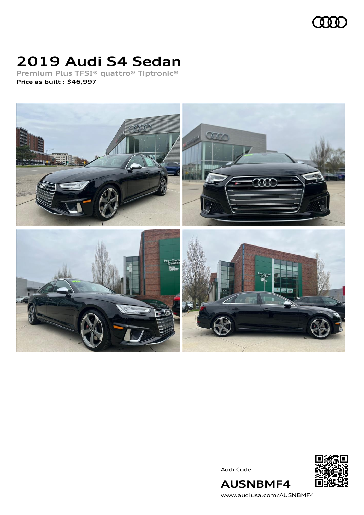

### **2019 Audi S4 Sedan**

**Premium Plus TFSI® quattro® Tiptronic® Price as built [:](#page-8-0) \$46,997**



Audi Code



[www.audiusa.com/AUSNBMF4](https://www.audiusa.com/AUSNBMF4)

**AUSNBMF4**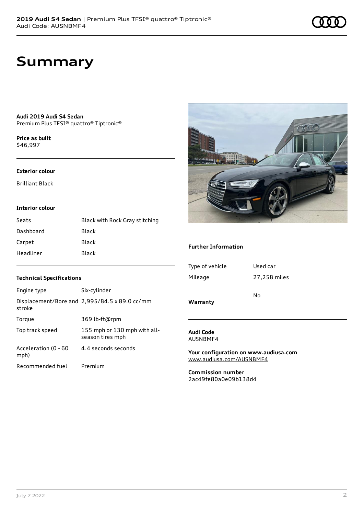### **Summary**

**Audi 2019 Audi S4 Sedan** Premium Plus TFSI® quattro® Tiptronic®

**Price as buil[t](#page-8-0)** \$46,997

#### **Exterior colour**

Brilliant Black

#### **Interior colour**

| Seats     | Black with Rock Gray stitching |
|-----------|--------------------------------|
| Dashboard | Black                          |
| Carpet    | Black                          |
| Headliner | Black                          |



#### **Further Information**

| Warranty        |              |  |
|-----------------|--------------|--|
|                 | N٥           |  |
| Mileage         | 27,258 miles |  |
| Type of vehicle | Used car     |  |
|                 |              |  |

### **Audi Code**

AUSNBMF4

**Your configuration on www.audiusa.com** [www.audiusa.com/AUSNBMF4](https://www.audiusa.com/AUSNBMF4)

**Commission number** 2ac49fe80a0e09b138d4

#### **Technical Specifications**

| Engine type                  | Six-cylinder                                     |
|------------------------------|--------------------------------------------------|
| stroke                       | Displacement/Bore and 2,995/84.5 x 89.0 cc/mm    |
| Torque                       | 369 lb-ft@rpm                                    |
| Top track speed              | 155 mph or 130 mph with all-<br>season tires mph |
| Acceleration (0 - 60<br>mph) | 4.4 seconds seconds                              |
| Recommended fuel             | Premium                                          |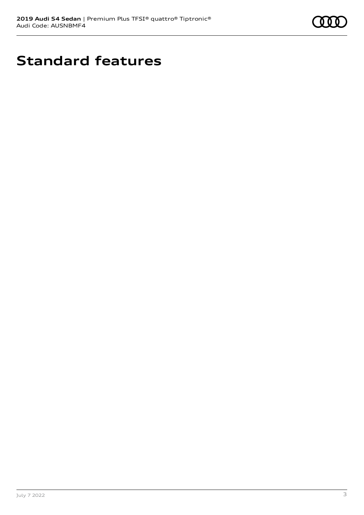

# **Standard features**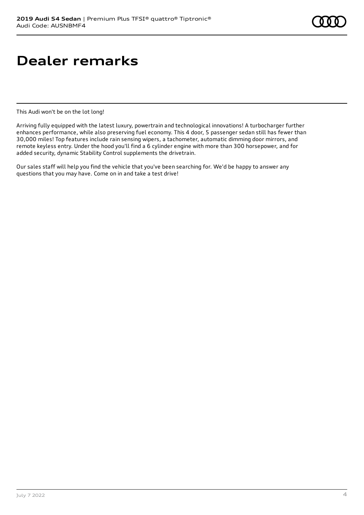# **Dealer remarks**

This Audi won't be on the lot long!

Arriving fully equipped with the latest luxury, powertrain and technological innovations! A turbocharger further enhances performance, while also preserving fuel economy. This 4 door, 5 passenger sedan still has fewer than 30,000 miles! Top features include rain sensing wipers, a tachometer, automatic dimming door mirrors, and remote keyless entry. Under the hood you'll find a 6 cylinder engine with more than 300 horsepower, and for added security, dynamic Stability Control supplements the drivetrain.

Our sales staff will help you find the vehicle that you've been searching for. We'd be happy to answer any questions that you may have. Come on in and take a test drive!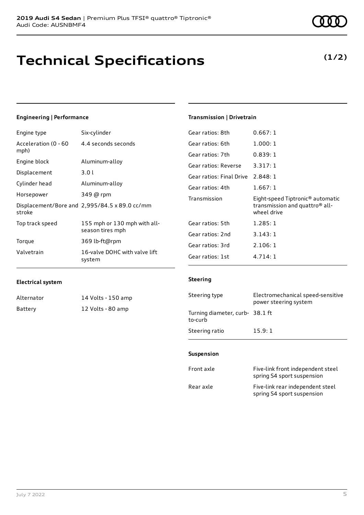# **Technical Specifications**

### **Engineering | Performance**

| Engine type                  | Six-cylinder                                     |
|------------------------------|--------------------------------------------------|
| Acceleration (0 - 60<br>mph) | 4.4 seconds seconds                              |
| Engine block                 | Aluminum-alloy                                   |
| Displacement                 | 3.01                                             |
| Cylinder head                | Aluminum-alloy                                   |
| Horsepower                   | 349 @ rpm                                        |
| stroke                       | Displacement/Bore and 2,995/84.5 x 89.0 cc/mm    |
| Top track speed              | 155 mph or 130 mph with all-<br>season tires mph |
| Torque                       | 369 lb-ft@rpm                                    |
| Valvetrain                   | 16-valve DOHC with valve lift<br>system          |

#### **Transmission | Drivetrain**

| Gear ratios: 8th                  | 0.667:1                                                                                                   |
|-----------------------------------|-----------------------------------------------------------------------------------------------------------|
| Gear ratios: 6th                  | 1.000:1                                                                                                   |
| Gear ratios: 7th                  | 0.839:1                                                                                                   |
| Gear ratios: Reverse              | 3.317:1                                                                                                   |
| Gear ratios: Final Drive 2.848: 1 |                                                                                                           |
| Gear ratios: 4th                  | 1.667:1                                                                                                   |
|                                   |                                                                                                           |
| Transmission                      | Eight-speed Tiptronic <sup>®</sup> automatic<br>transmission and quattro <sup>®</sup> all-<br>wheel drive |
| Gear ratios: 5th                  | 1.285:1                                                                                                   |
| Gear ratios: 2nd                  | 3.143:1                                                                                                   |
| Gear ratios: 3rd                  | 2.106:1                                                                                                   |

#### **Electrical system**

| Alternator | 14 Volts - 150 amp |
|------------|--------------------|
| Battery    | 12 Volts - 80 amp  |

#### **Steering**

| Steering type                             | Electromechanical speed-sensitive<br>power steering system |
|-------------------------------------------|------------------------------------------------------------|
| Turning diameter, curb-38.1 ft<br>to-curb |                                                            |
| Steering ratio                            | 15.9:1                                                     |

#### **Suspension**

| Front axle | Five-link front independent steel<br>spring S4 sport suspension |
|------------|-----------------------------------------------------------------|
| Rear axle  | Five-link rear independent steel<br>spring S4 sport suspension  |

### **(1/2)**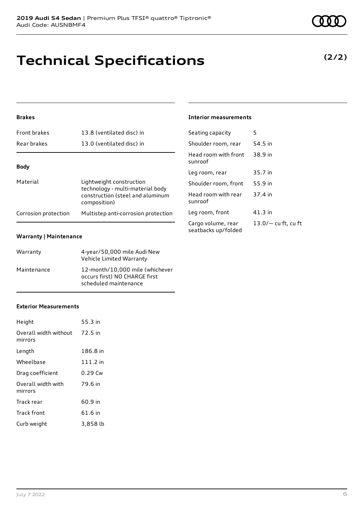**Brakes**

| Front brakes         | 13.8 (ventilated disc) in                                    | Seati         |
|----------------------|--------------------------------------------------------------|---------------|
| Rear brakes          | 13.0 (ventilated disc) in                                    | Shou          |
|                      |                                                              | Head<br>sunro |
| <b>Body</b>          |                                                              | Leg r         |
| Material             | Lightweight construction<br>technology - multi-material body | Shou          |
|                      | construction (steel and aluminum<br>composition)             | Head<br>sunro |
| Corrosion protection | Multistep anti-corrosion protection                          | Leg r         |
|                      |                                                              | Cargo         |

#### **Warranty | Maintenance**

| Warranty    | 4-year/50,000 mile Audi New<br>Vehicle Limited Warranty                                   |
|-------------|-------------------------------------------------------------------------------------------|
| Maintenance | 12-month/10,000 mile (whichever<br>occurs first) NO CHARGE first<br>scheduled maintenance |

#### **Exterior Measurements**

| Height                                   | 55.3 in    |
|------------------------------------------|------------|
| Overall width without 72.5 in<br>mirrors |            |
| Length                                   | 186.8 in   |
| Wheelbase                                | $111.2$ in |
| Drag coefficient                         | $0.29$ Cw  |
| Overall width with<br>mirrors            | 79.6 in    |
| Track rear                               | 60.9 in    |
| Track front                              | 61.6 in    |
| Curb weight                              | 3,858 lb   |

#### **Interior measurements**

| Seating capacity                          | 5                     |
|-------------------------------------------|-----------------------|
| Shoulder room, rear                       | 54.5 in               |
| Head room with front<br>sunroof           | 38.9 in               |
| Leg room, rear                            | 35.7 in               |
| Shoulder room, front                      | 55.9 in               |
| Head room with rear<br>sunroof            | 37.4 in               |
| Leg room, front                           | 41.3 in               |
| Cargo volume, rear<br>seatbacks up/folded | $13.0/-$ cu ft, cu ft |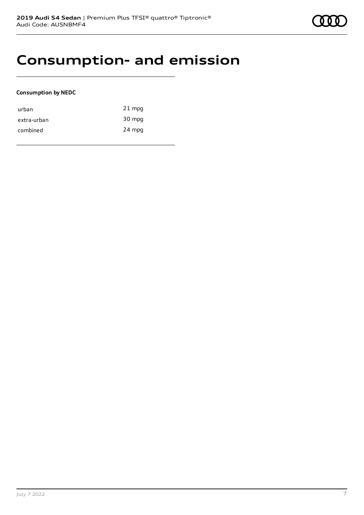### **Consumption- and emission**

#### **Consumption by NEDC**

| urban       | $21$ mpg |
|-------------|----------|
| extra-urban | 30 mpg   |
| combined    | 24 mpg   |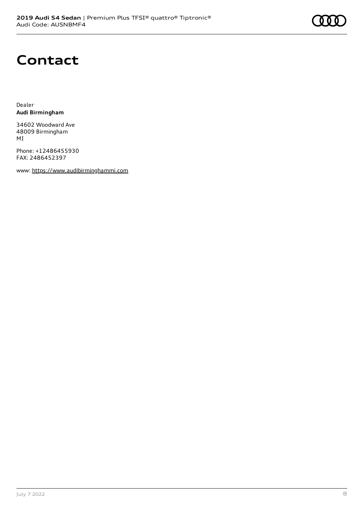# **Contact**

Dealer **Audi Birmingham**

34602 Woodward Ave 48009 Birmingham MI

Phone: +12486455930 FAX: 2486452397

www: [https://www.audibirminghammi.com](https://www.audibirminghammi.com/)